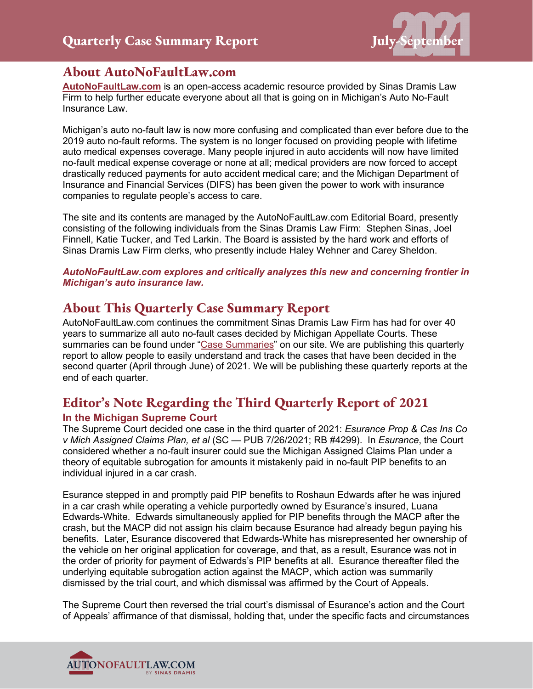

## **About AutoNoFaultLaw.com**

**[AutoNoFaultLaw.com](https://autonofaultlaw.com/)** is an open-access academic resource provided by Sinas Dramis Law Firm to help further educate everyone about all that is going on in Michigan's Auto No-Fault Insurance Law.

Michigan's auto no-fault law is now more confusing and complicated than ever before due to the 2019 auto no-fault reforms. The system is no longer focused on providing people with lifetime auto medical expenses coverage. Many people injured in auto accidents will now have limited no-fault medical expense coverage or none at all; medical providers are now forced to accept drastically reduced payments for auto accident medical care; and the Michigan Department of Insurance and Financial Services (DIFS) has been given the power to work with insurance companies to regulate people's access to care.

The site and its contents are managed by the AutoNoFaultLaw.com Editorial Board, presently consisting of the following individuals from the Sinas Dramis Law Firm: Stephen Sinas, Joel Finnell, Katie Tucker, and Ted Larkin. The Board is assisted by the hard work and efforts of Sinas Dramis Law Firm clerks, who presently include Haley Wehner and Carey Sheldon.

*AutoNoFaultLaw.com explores and critically analyzes this new and concerning frontier in Michigan's auto insurance law.* 

## **About This Quarterly Case Summary Report**

AutoNoFaultLaw.com continues the commitment Sinas Dramis Law Firm has had for over 40 years to summarize all auto no-fault cases decided by Michigan Appellate Courts. These summaries can be found under ["Case Summaries"](https://autonofaultlaw.com/digital-library/) on our site. We are publishing this quarterly report to allow people to easily understand and track the cases that have been decided in the second quarter (April through June) of 2021. We will be publishing these quarterly reports at the end of each quarter.

## **Editor's Note Regarding the Third Quarterly Report of 2021**

## **In the Michigan Supreme Court**

The Supreme Court decided one case in the third quarter of 2021: *Esurance Prop & Cas Ins Co v Mich Assigned Claims Plan, et al* (SC — PUB 7/26/2021; RB #4299). In *Esurance*, the Court considered whether a no-fault insurer could sue the Michigan Assigned Claims Plan under a theory of equitable subrogation for amounts it mistakenly paid in no-fault PIP benefits to an individual injured in a car crash.

Esurance stepped in and promptly paid PIP benefits to Roshaun Edwards after he was injured in a car crash while operating a vehicle purportedly owned by Esurance's insured, Luana Edwards-White. Edwards simultaneously applied for PIP benefits through the MACP after the crash, but the MACP did not assign his claim because Esurance had already begun paying his benefits. Later, Esurance discovered that Edwards-White has misrepresented her ownership of the vehicle on her original application for coverage, and that, as a result, Esurance was not in the order of priority for payment of Edwards's PIP benefits at all. Esurance thereafter filed the underlying equitable subrogation action against the MACP, which action was summarily dismissed by the trial court, and which dismissal was affirmed by the Court of Appeals.

The Supreme Court then reversed the trial court's dismissal of Esurance's action and the Court of Appeals' affirmance of that dismissal, holding that, under the specific facts and circumstances

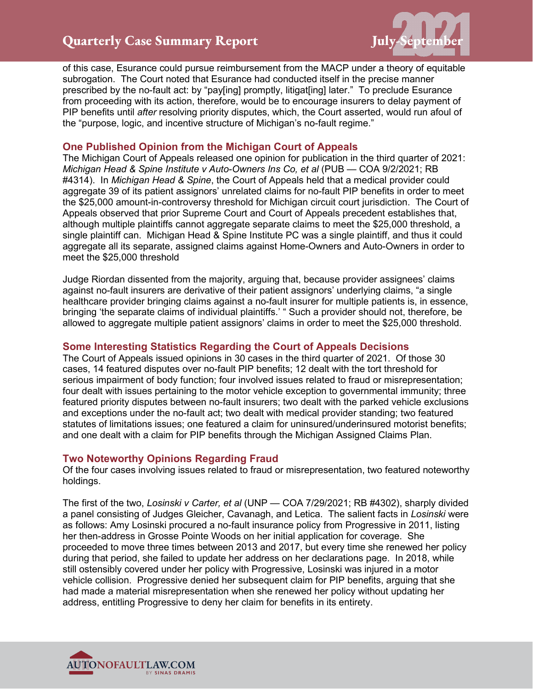## **Quarterly Case Summary Report Figurer 19 and September**



of this case, Esurance could pursue reimbursement from the MACP under a theory of equitable subrogation. The Court noted that Esurance had conducted itself in the precise manner prescribed by the no-fault act: by "pay[ing] promptly, litigat[ing] later." To preclude Esurance from proceeding with its action, therefore, would be to encourage insurers to delay payment of PIP benefits until *after* resolving priority disputes, which, the Court asserted, would run afoul of the "purpose, logic, and incentive structure of Michigan's no-fault regime."

## **One Published Opinion from the Michigan Court of Appeals**

The Michigan Court of Appeals released one opinion for publication in the third quarter of 2021: *Michigan Head & Spine Institute v Auto-Owners Ins Co, et al* (PUB — COA 9/2/2021; RB #4314). In *Michigan Head & Spine*, the Court of Appeals held that a medical provider could aggregate 39 of its patient assignors' unrelated claims for no-fault PIP benefits in order to meet the \$25,000 amount-in-controversy threshold for Michigan circuit court jurisdiction. The Court of Appeals observed that prior Supreme Court and Court of Appeals precedent establishes that, although multiple plaintiffs cannot aggregate separate claims to meet the \$25,000 threshold, a single plaintiff can. Michigan Head & Spine Institute PC was a single plaintiff, and thus it could aggregate all its separate, assigned claims against Home-Owners and Auto-Owners in order to meet the \$25,000 threshold

Judge Riordan dissented from the majority, arguing that, because provider assignees' claims against no-fault insurers are derivative of their patient assignors' underlying claims, "a single healthcare provider bringing claims against a no-fault insurer for multiple patients is, in essence, bringing 'the separate claims of individual plaintiffs.' " Such a provider should not, therefore, be allowed to aggregate multiple patient assignors' claims in order to meet the \$25,000 threshold.

## **Some Interesting Statistics Regarding the Court of Appeals Decisions**

The Court of Appeals issued opinions in 30 cases in the third quarter of 2021. Of those 30 cases, 14 featured disputes over no-fault PIP benefits; 12 dealt with the tort threshold for serious impairment of body function; four involved issues related to fraud or misrepresentation; four dealt with issues pertaining to the motor vehicle exception to governmental immunity; three featured priority disputes between no-fault insurers; two dealt with the parked vehicle exclusions and exceptions under the no-fault act; two dealt with medical provider standing; two featured statutes of limitations issues; one featured a claim for uninsured/underinsured motorist benefits; and one dealt with a claim for PIP benefits through the Michigan Assigned Claims Plan.

## **Two Noteworthy Opinions Regarding Fraud**

Of the four cases involving issues related to fraud or misrepresentation, two featured noteworthy holdings.

The first of the two, *Losinski v Carter, et al* (UNP — COA 7/29/2021; RB #4302), sharply divided a panel consisting of Judges Gleicher, Cavanagh, and Letica. The salient facts in *Losinski* were as follows: Amy Losinski procured a no-fault insurance policy from Progressive in 2011, listing her then-address in Grosse Pointe Woods on her initial application for coverage. She proceeded to move three times between 2013 and 2017, but every time she renewed her policy during that period, she failed to update her address on her declarations page. In 2018, while still ostensibly covered under her policy with Progressive, Losinski was injured in a motor vehicle collision. Progressive denied her subsequent claim for PIP benefits, arguing that she had made a material misrepresentation when she renewed her policy without updating her address, entitling Progressive to deny her claim for benefits in its entirety.

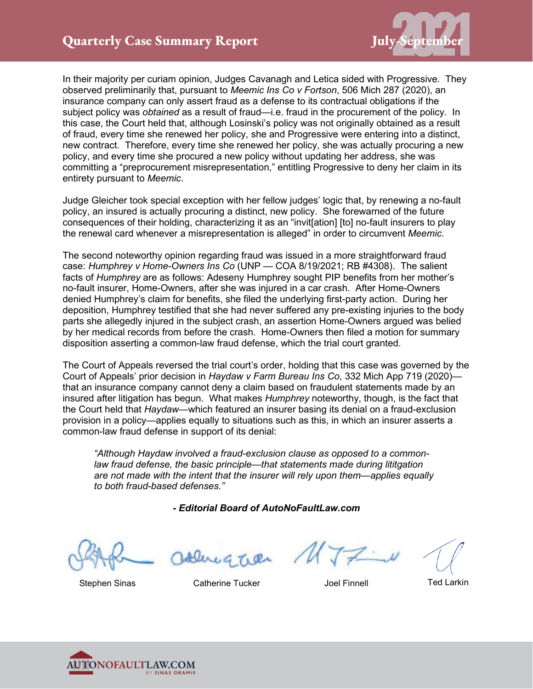

In their majority per curiam opinion, Judges Cavanagh and Letica sided with Progressive. They observed preliminarily that, pursuant to *Meemic Ins Co v Fortson*, 506 Mich 287 (2020), an insurance company can only assert fraud as a defense to its contractual obligations if the subject policy was *obtained* as a result of fraud—i.e. fraud in the procurement of the policy. In this case, the Court held that, although Losinski's policy was not originally obtained as a result of fraud, every time she renewed her policy, she and Progressive were entering into a distinct, new contract. Therefore, every time she renewed her policy, she was actually procuring a new policy, and every time she procured a new policy without updating her address, she was committing a "preprocurement misrepresentation," entitling Progressive to deny her claim in its entirety pursuant to *Meemic*.

Judge Gleicher took special exception with her fellow judges' logic that, by renewing a no-fault policy, an insured is actually procuring a distinct, new policy. She forewarned of the future consequences of their holding, characterizing it as an "invit[ation] [to] no-fault insurers to play the renewal card whenever a misrepresentation is alleged" in order to circumvent *Meemic*.

The second noteworthy opinion regarding fraud was issued in a more straightforward fraud case: *Humphrey v Home-Owners Ins Co* (UNP — COA 8/19/2021; RB #4308). The salient facts of *Humphrey* are as follows: Adeseny Humphrey sought PIP benefits from her mother's no-fault insurer, Home-Owners, after she was injured in a car crash. After Home-Owners denied Humphrey's claim for benefits, she filed the underlying first-party action. During her deposition, Humphrey testified that she had never suffered any pre-existing injuries to the body parts she allegedly injured in the subject crash, an assertion Home-Owners argued was belied by her medical records from before the crash. Home-Owners then filed a motion for summary disposition asserting a common-law fraud defense, which the trial court granted.

The Court of Appeals reversed the trial court's order, holding that this case was governed by the Court of Appeals' prior decision in *Haydaw v Farm Bureau Ins Co*, 332 Mich App 719 (2020) that an insurance company cannot deny a claim based on fraudulent statements made by an insured after litigation has begun. What makes *Humphrey* noteworthy, though, is the fact that the Court held that *Haydaw*—which featured an insurer basing its denial on a fraud-exclusion provision in a policy—applies equally to situations such as this, in which an insurer asserts a common-law fraud defense in support of its denial:

*"Although Haydaw involved a fraud-exclusion clause as opposed to a common*law fraud defense, the basic principle—that statements made during lititgation *are not made with the intent that the insurer will rely upon them—applies equally to both fraud-based defenses."*

*- Editorial Board of AutoNoFaultLaw.com*

Stephen Sinas **Catherine Tucker** Moreover Joel Finnell Ted Larkin

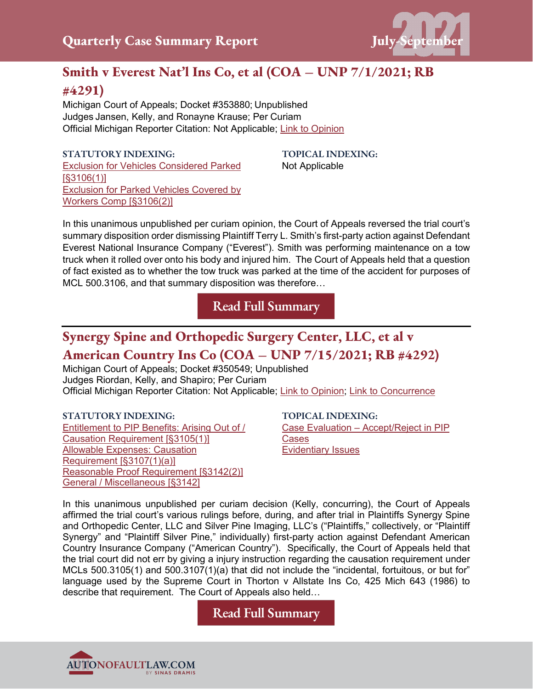

# **Smith v Everest Nat'l Ins Co, et al (COA – UNP 7/1/2021; RB #4291)**

Michigan Court of Appeals; Docket #353880; Unpublished Judges Jansen, Kelly, and Ronayne Krause; Per Curiam Official Michigan Reporter Citation: Not Applicable; [Link to Opinion](https://autonofaultlaw.com/digital-library/images/pdf/Opinions-2021/5265-smith-v-everest-nat-l-ins-co-et-al.PDF)

#### **STATUTORY INDEXING:**

[Exclusion for Vehicles Considered Parked](https://autonofaultlaw.com/digital-library/autonofaultlaw.com/digital-library/index.php?option=com_content&view=article&id=108)  [\[§3106\(1\)\]](https://autonofaultlaw.com/digital-library/autonofaultlaw.com/digital-library/index.php?option=com_content&view=article&id=108) [Exclusion for Parked Vehicles Covered by](https://www.autonofaultlaw.com/digital-library/index.php?option=com_content&view=article&id=114)  [Workers Comp \[§3106\(2\)\]](https://www.autonofaultlaw.com/digital-library/index.php?option=com_content&view=article&id=114)

**TOPICAL INDEXING:** Not Applicable

In this unanimous unpublished per curiam opinion, the Court of Appeals reversed the trial court's summary disposition order dismissing Plaintiff Terry L. Smith's first-party action against Defendant Everest National Insurance Company ("Everest"). Smith was performing maintenance on a tow truck when it rolled over onto his body and injured him. The Court of Appeals held that a question of fact existed as to whether the tow truck was parked at the time of the accident for purposes of MCL 500.3106, and that summary disposition was therefore…

**[Read Full Summary](https://autonofaultlaw.com/digital-library/index.php/case-summaries/5265-smith-v-everest-nat-l-ins-co-et-al-7-1-2021-michigan-court-of-appeals)**

# **Synergy Spine and Orthopedic Surgery Center, LLC, et al v American Country Ins Co (COA – UNP 7/15/2021; RB #4292)**

Michigan Court of Appeals; Docket #350549; Unpublished Judges Riordan, Kelly, and Shapiro; Per Curiam Official Michigan Reporter Citation: Not Applicable; [Link to Opinion;](https://autonofaultlaw.com/digital-library/images/pdf/Opinions-2021/5266-synergy-spine-and-orthopedic-surgery-center-llc-et-al-v-american-country-ins-co.PDF) [Link to Concurrence](https://autonofaultlaw.com/digital-library/images/pdf/Opinions-2021/5266-synergy-spine-and-orthopedic-surgery-center-llc-et-al-v-american-country-ins-co-concurrence.PDF)

## **STATUTORY INDEXING:**

[Entitlement to PIP Benefits: Arising Out of /](https://www.autonofaultlaw.com/digital-library/index.php?option=com_content&view=article&id=176)  [Causation Requirement \[§3105\(1\)\]](https://www.autonofaultlaw.com/digital-library/index.php?option=com_content&view=article&id=176) [Allowable Expenses: Causation](https://www.autonofaultlaw.com/digital-library/index.php?option=com_content&view=article&id=131)  [Requirement \[§3107\(1\)\(a\)\]](https://www.autonofaultlaw.com/digital-library/index.php?option=com_content&view=article&id=131) [Reasonable Proof Requirement \[§3142\(2\)\]](https://www.autonofaultlaw.com/digital-library/index.php?option=com_content&view=article&id=1617) [General / Miscellaneous \[§3142\]](https://www.autonofaultlaw.com/digital-library/index.php?option=com_content&view=article&id=322)

## **TOPICAL INDEXING:**

Case Evaluation – [Accept/Reject in PIP](https://www.autonofaultlaw.com/digital-library/index.php?option=com_content&view=article&id=3434)  [Cases](https://www.autonofaultlaw.com/digital-library/index.php?option=com_content&view=article&id=3434) [Evidentiary Issues](https://www.autonofaultlaw.com/digital-library/index.php?option=com_content&view=article&id=1630)

In this unanimous unpublished per curiam decision (Kelly, concurring), the Court of Appeals affirmed the trial court's various rulings before, during, and after trial in Plaintiffs Synergy Spine and Orthopedic Center, LLC and Silver Pine Imaging, LLC's ("Plaintiffs," collectively, or "Plaintiff Synergy" and "Plaintiff Silver Pine," individually) first-party action against Defendant American Country Insurance Company ("American Country"). Specifically, the Court of Appeals held that the trial court did not err by giving a injury instruction regarding the causation requirement under MCLs 500.3105(1) and 500.3107(1)(a) that did not include the "incidental, fortuitous, or but for" language used by the Supreme Court in Thorton v Allstate Ins Co, 425 Mich 643 (1986) to describe that requirement. The Court of Appeals also held…

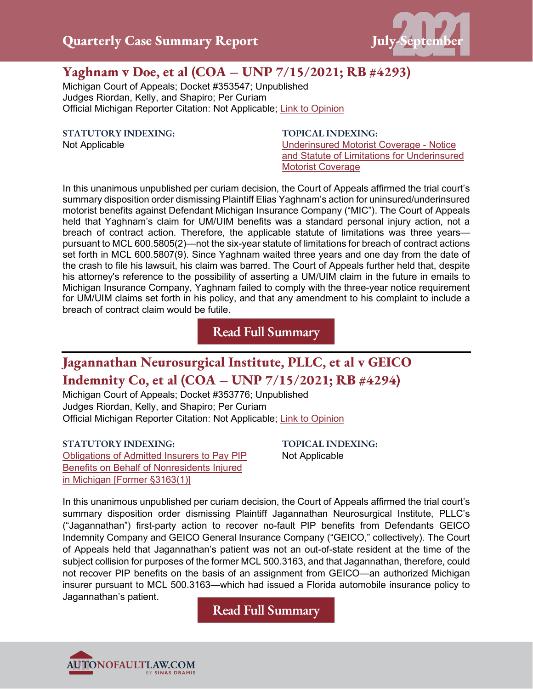

# **Yaghnam v Doe, et al (COA – UNP 7/15/2021; RB #4293)**

Michigan Court of Appeals; Docket #353547; Unpublished Judges Riordan, Kelly, and Shapiro; Per Curiam Official Michigan Reporter Citation: Not Applicable; [Link to Opinion](https://autonofaultlaw.com/digital-library/images/pdf/Opinions-2021/5267-yaghnam-v-doe-et-al.PDF)

**STATUTORY INDEXING:**

Not Applicable

**TOPICAL INDEXING:** [Underinsured Motorist Coverage -](https://www.autonofaultlaw.com/digital-library/index.php?option=com_content&view=article&id=1791) Notice [and Statute of Limitations for Underinsured](https://www.autonofaultlaw.com/digital-library/index.php?option=com_content&view=article&id=1791)  [Motorist Coverage](https://www.autonofaultlaw.com/digital-library/index.php?option=com_content&view=article&id=1791)

In this unanimous unpublished per curiam decision, the Court of Appeals affirmed the trial court's summary disposition order dismissing Plaintiff Elias Yaghnam's action for uninsured/underinsured motorist benefits against Defendant Michigan Insurance Company ("MIC"). The Court of Appeals held that Yaghnam's claim for UM/UIM benefits was a standard personal injury action, not a breach of contract action. Therefore, the applicable statute of limitations was three years pursuant to MCL 600.5805(2)—not the six-year statute of limitations for breach of contract actions set forth in MCL 600.5807(9). Since Yaghnam waited three years and one day from the date of the crash to file his lawsuit, his claim was barred. The Court of Appeals further held that, despite his attorney's reference to the possibility of asserting a UM/UIM claim in the future in emails to Michigan Insurance Company, Yaghnam failed to comply with the three-year notice requirement for UM/UIM claims set forth in his policy, and that any amendment to his complaint to include a breach of contract claim would be futile.

**[Read Full Summary](https://autonofaultlaw.com/digital-library/index.php/case-summaries/5267-yaghnam-v-doe-et-al-7-15-2021-michigan-court-of-appeals)**

# **Jagannathan Neurosurgical Institute, PLLC, et al v GEICO Indemnity Co, et al (COA – UNP 7/15/2021; RB #4294)**

Michigan Court of Appeals; Docket #353776; Unpublished Judges Riordan, Kelly, and Shapiro; Per Curiam Official Michigan Reporter Citation: Not Applicable; [Link to Opinion](https://autonofaultlaw.com/digital-library/images/pdf/Opinions-2021/5268-jagannathan-neurosurgical-institute-pllc-et-al-v-geico-indemnity-co-et-al.PDF)

**STATUTORY INDEXING:** [Obligations of Admitted Insurers to Pay PIP](https://www.autonofaultlaw.com/digital-library/index.php?option=com_content&view=article&id=76)  [Benefits on Behalf of Nonresidents Injured](https://www.autonofaultlaw.com/digital-library/index.php?option=com_content&view=article&id=76)  [in Michigan \[Former §3163\(1\)\]](https://www.autonofaultlaw.com/digital-library/index.php?option=com_content&view=article&id=76)

**TOPICAL INDEXING:** Not Applicable

In this unanimous unpublished per curiam decision, the Court of Appeals affirmed the trial court's summary disposition order dismissing Plaintiff Jagannathan Neurosurgical Institute, PLLC's ("Jagannathan") first-party action to recover no-fault PIP benefits from Defendants GEICO Indemnity Company and GEICO General Insurance Company ("GEICO," collectively). The Court of Appeals held that Jagannathan's patient was not an out-of-state resident at the time of the subject collision for purposes of the former MCL 500.3163, and that Jagannathan, therefore, could not recover PIP benefits on the basis of an assignment from GEICO—an authorized Michigan insurer pursuant to MCL 500.3163—which had issued a Florida automobile insurance policy to Jagannathan's patient.

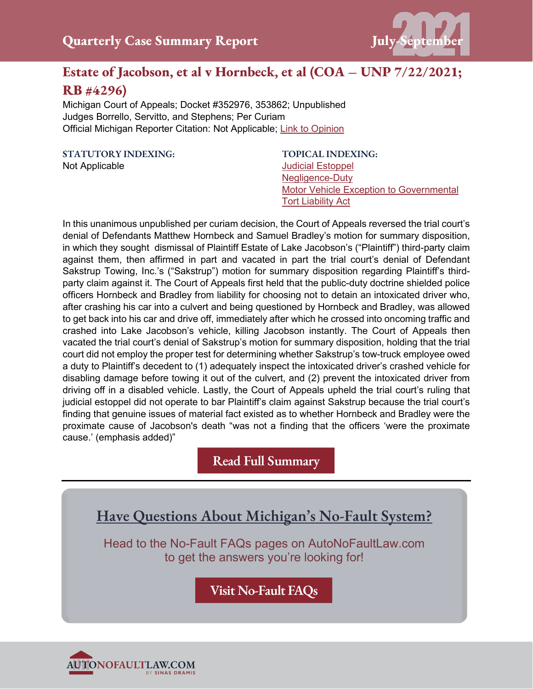

# **Estate of Jacobson, et al v Hornbeck, et al (COA – UNP 7/22/2021; RB #4296)**

Michigan Court of Appeals; Docket #352976, 353862; Unpublished Judges Borrello, Servitto, and Stephens; Per Curiam Official Michigan Reporter Citation: Not Applicable; [Link to Opinion](https://autonofaultlaw.com/digital-library/images/pdf/Opinions-2021/5260_Estate_of_Jacobson_v_Hornbeck_et_al.PDF)

**STATUTORY INDEXING:** Not Applicable

**TOPICAL INDEXING:** [Judicial Estoppel](https://www.autonofaultlaw.com/digital-library/5072-ti-judicial-estoppel) [Negligence-Duty](https://www.autonofaultlaw.com/digital-library/index.php?option=com_content&view=article&id=4843) [Motor Vehicle Exception to Governmental](https://www.autonofaultlaw.com/digital-library/index.php?option=com_content&view=article&id=4860)  [Tort Liability Act](https://www.autonofaultlaw.com/digital-library/index.php?option=com_content&view=article&id=4860)

In this unanimous unpublished per curiam decision, the Court of Appeals reversed the trial court's denial of Defendants Matthew Hornbeck and Samuel Bradley's motion for summary disposition, in which they sought dismissal of Plaintiff Estate of Lake Jacobson's ("Plaintiff") third-party claim against them, then affirmed in part and vacated in part the trial court's denial of Defendant Sakstrup Towing, Inc.'s ("Sakstrup") motion for summary disposition regarding Plaintiff's thirdparty claim against it. The Court of Appeals first held that the public-duty doctrine shielded police officers Hornbeck and Bradley from liability for choosing not to detain an intoxicated driver who, after crashing his car into a culvert and being questioned by Hornbeck and Bradley, was allowed to get back into his car and drive off, immediately after which he crossed into oncoming traffic and crashed into Lake Jacobson's vehicle, killing Jacobson instantly. The Court of Appeals then vacated the trial court's denial of Sakstrup's motion for summary disposition, holding that the trial court did not employ the proper test for determining whether Sakstrup's tow-truck employee owed a duty to Plaintiff's decedent to (1) adequately inspect the intoxicated driver's crashed vehicle for disabling damage before towing it out of the culvert, and (2) prevent the intoxicated driver from driving off in a disabled vehicle. Lastly, the Court of Appeals upheld the trial court's ruling that judicial estoppel did not operate to bar Plaintiff's claim against Sakstrup because the trial court's finding that genuine issues of material fact existed as to whether Hornbeck and Bradley were the proximate cause of Jacobson's death "was not a finding that the officers 'were the proximate cause.' (emphasis added)"

**[Read Full Summary](https://www.autonofaultlaw.com/digital-library/index.php/49-training/5260-5260-estate-of-jacobson-et-al-v-hornbeck-et-al-7-22-2021-michigan-court-of-appeals)**



Head to the No-Fault FAQs pages on AutoNoFaultLaw.com to get the answers you're looking for!

**[Visit No-Fault FAQs](https://autonofaultlaw.com/michigan-no-fault/)**

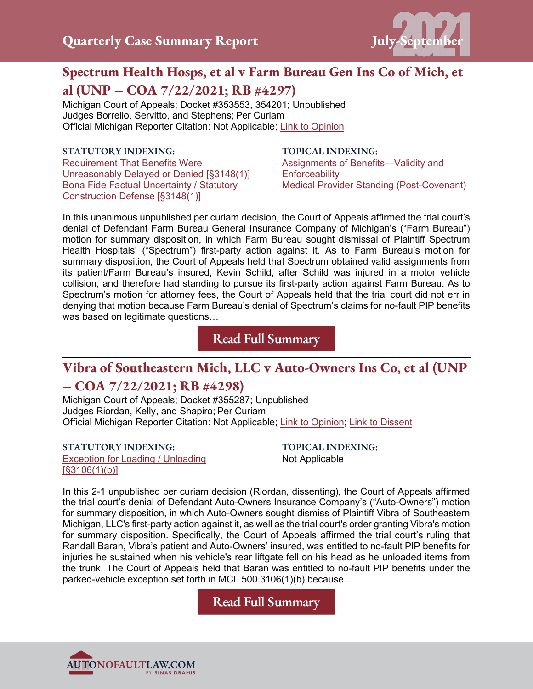

# **Spectrum Health Hosps, et al v Farm Bureau Gen Ins Co of Mich, et al (UNP – COA 7/22/2021; RB #4297)**

Michigan Court of Appeals; Docket #353553, 354201; Unpublished Judges Borrello, Servitto, and Stephens; Per Curiam Official Michigan Reporter Citation: Not Applicable; [Link to Opinion](https://autonofaultlaw.com/digital-library/images/pdf/Opinions-2021/5264_Spectrum_Health_Hosps_et_al_v_Farm_Bureau_Gen_Ins_Co_of_Mich_et_al.PDF)

### **STATUTORY INDEXING:**

[Requirement That Benefits Were](https://www.autonofaultlaw.com/digital-library/index.php?option=com_content&view=article&id=80)  [Unreasonably Delayed or Denied \[§3148\(1\)\]](https://www.autonofaultlaw.com/digital-library/index.php?option=com_content&view=article&id=80) [Bona Fide Factual Uncertainty / Statutory](https://autonofaultlaw.com/digital-library/index.php?option=com_content&view=article&id=83)  [Construction Defense \[§3148\(1\)\]](https://autonofaultlaw.com/digital-library/index.php?option=com_content&view=article&id=83)

**TOPICAL INDEXING:**

[Assignments of Benefits—Validity and](https://autonofaultlaw.com/digital-library/index.php?option=com_content&view=article&id=4863)  **[Enforceability](https://autonofaultlaw.com/digital-library/index.php?option=com_content&view=article&id=4863)** [Medical Provider Standing \(Post-Covenant\)](https://autonofaultlaw.com/digital-library/index.php?option=com_content&view=article&id=4841)

In this unanimous unpublished per curiam decision, the Court of Appeals affirmed the trial court's denial of Defendant Farm Bureau General Insurance Company of Michigan's ("Farm Bureau") motion for summary disposition, in which Farm Bureau sought dismissal of Plaintiff Spectrum Health Hospitals' ("Spectrum") first-party action against it. As to Farm Bureau's motion for summary disposition, the Court of Appeals held that Spectrum obtained valid assignments from its patient/Farm Bureau's insured, Kevin Schild, after Schild was injured in a motor vehicle collision, and therefore had standing to pursue its first-party action against Farm Bureau. As to Spectrum's motion for attorney fees, the Court of Appeals held that the trial court did not err in denying that motion because Farm Bureau's denial of Spectrum's claims for no-fault PIP benefits was based on legitimate questions…

**[Read Full Summary](https://autonofaultlaw.com/digital-library/index.php/case-summaries/5264-spectrum-health-hosps-et-al-v-farm-bureau-gen-ins-co-of-mich-et-al-michigan-court-of-appeals)**

## **Vibra of Southeastern Mich, LLC v Auto-Owners Ins Co, et al (UNP**

## **– COA 7/22/2021; RB #4298)**

Michigan Court of Appeals; Docket #355287; Unpublished Judges Riordan, Kelly, and Shapiro; Per Curiam Official Michigan Reporter Citation: Not Applicable; [Link to Opinion; Link to Dissent](https://autonofaultlaw.com/digital-library/images/pdf/Opinions-2021/5269-vibra-of-southeastern-mich-llc-v-auto-owners-ins-co-et-al.PDF)

**STATUTORY INDEXING:** [Exception for Loading / Unloading](https://www.autonofaultlaw.com/digital-library/index.php?option=com_content&view=article&id=111)  [\[§3106\(1\)\(b\)\]](https://www.autonofaultlaw.com/digital-library/index.php?option=com_content&view=article&id=111)

**TOPICAL INDEXING:** Not Applicable

In this 2-1 unpublished per curiam decision (Riordan, dissenting), the Court of Appeals affirmed the trial court's denial of Defendant Auto-Owners Insurance Company's ("Auto-Owners") motion for summary disposition, in which Auto-Owners sought dismiss of Plaintiff Vibra of Southeastern Michigan, LLC's first-party action against it, as well as the trial court's order granting Vibra's motion for summary disposition. Specifically, the Court of Appeals affirmed the trial court's ruling that Randall Baran, Vibra's patient and Auto-Owners' insured, was entitled to no-fault PIP benefits for injuries he sustained when his vehicle's rear liftgate fell on his head as he unloaded items from the trunk. The Court of Appeals held that Baran was entitled to no-fault PIP benefits under the parked-vehicle exception set forth in MCL 500.3106(1)(b) because…

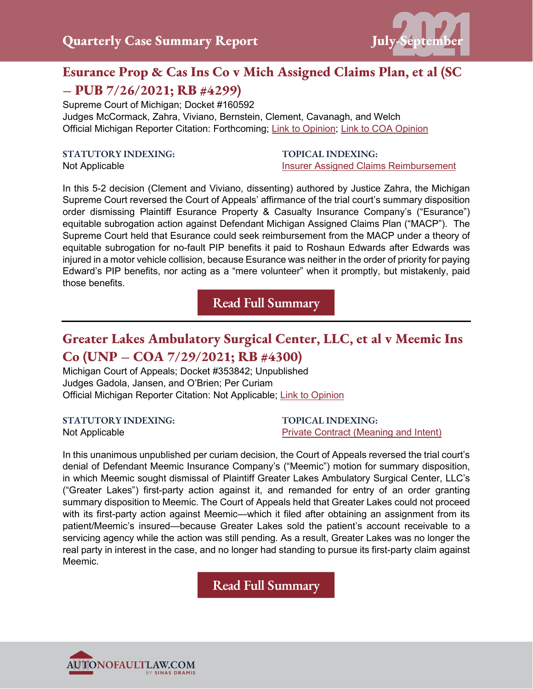

# **Esurance Prop & Cas Ins Co v Mich Assigned Claims Plan, et al (SC – PUB 7/26/2021; RB #4299)**

Supreme Court of Michigan; Docket #160592 Judges McCormack, Zahra, Viviano, Bernstein, Clement, Cavanagh, and Welch Official Michigan Reporter Citation: Forthcoming; [Link to Opinion;](https://autonofaultlaw.com/digital-library/images/pdf/Opinions-2021/5261_Esurance_Prop__Cas_Ins_Co_v_Mich_Assigned_Claims_Plan.pdf) [Link to COA Opinion](https://autonofaultlaw.com/digital-library/images/pdf/Opinions-2021/5063-esurance-property-cas-ins-co-v-mich-assigned-claims-plan-et-al.PDF)

#### **STATUTORY INDEXING:**

Not Applicable

#### **TOPICAL INDEXING:** [Insurer Assigned Claims Reimbursement](https://www.autonofaultlaw.com/digital-library/index.php?option=com_content&view=article&id=1800)

In this 5-2 decision (Clement and Viviano, dissenting) authored by Justice Zahra, the Michigan Supreme Court reversed the Court of Appeals' affirmance of the trial court's summary disposition order dismissing Plaintiff Esurance Property & Casualty Insurance Company's ("Esurance") equitable subrogation action against Defendant Michigan Assigned Claims Plan ("MACP"). The Supreme Court held that Esurance could seek reimbursement from the MACP under a theory of equitable subrogation for no-fault PIP benefits it paid to Roshaun Edwards after Edwards was injured in a motor vehicle collision, because Esurance was neither in the order of priority for paying Edward's PIP benefits, nor acting as a "mere volunteer" when it promptly, but mistakenly, paid those benefits.

**[Read Full Summary](https://autonofaultlaw.com/digital-library/index.php/49-training/5261-5261-esurance-prop-cas-ins-co-v-mich-assigned-claims-plan-et-al-7-26-2021-rb-4299-michigan-supreme-court)**

# **Greater Lakes Ambulatory Surgical Center, LLC, et al v Meemic Ins Co (UNP – COA 7/29/2021; RB #4300)**

Michigan Court of Appeals; Docket #353842; Unpublished Judges Gadola, Jansen, and O'Brien; Per Curiam Official Michigan Reporter Citation: Not Applicable; [Link to Opinion](https://autonofaultlaw.com/digital-library/images/pdf/Opinions-2021/5263_Greater_Lakes_Ambulatory_Surgical_Ctr_LLC_et_al_v_Meds_Direct_Pharmacy_et_al.PDF)

### **STATUTORY INDEXING:**

Not Applicable

**TOPICAL INDEXING:** [Private Contract \(Meaning and Intent\)](https://autonofaultlaw.com/digital-library/index.php?option=com_content&view=article&id=888)

In this unanimous unpublished per curiam decision, the Court of Appeals reversed the trial court's denial of Defendant Meemic Insurance Company's ("Meemic") motion for summary disposition, in which Meemic sought dismissal of Plaintiff Greater Lakes Ambulatory Surgical Center, LLC's ("Greater Lakes") first-party action against it, and remanded for entry of an order granting summary disposition to Meemic. The Court of Appeals held that Greater Lakes could not proceed with its first-party action against Meemic—which it filed after obtaining an assignment from its patient/Meemic's insured—because Greater Lakes sold the patient's account receivable to a servicing agency while the action was still pending. As a result, Greater Lakes was no longer the real party in interest in the case, and no longer had standing to pursue its first-party claim against Meemic.

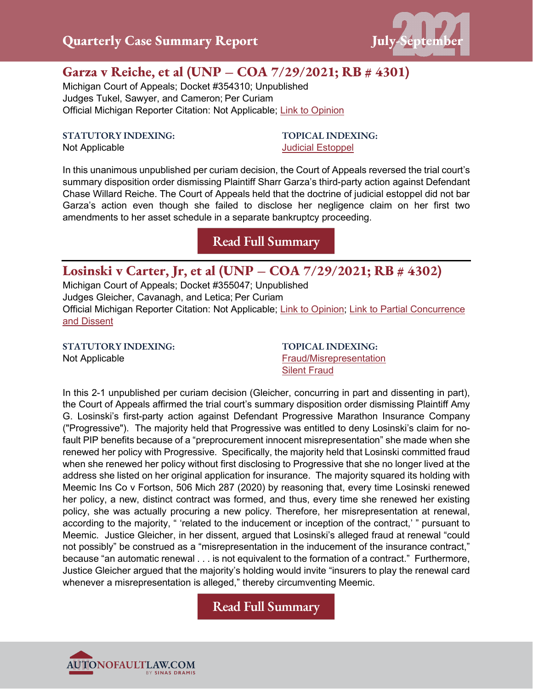

# **Garza v Reiche, et al (UNP – COA 7/29/2021; RB # 4301)**

Michigan Court of Appeals; Docket #354310; Unpublished Judges Tukel, Sawyer, and Cameron; Per Curiam Official Michigan Reporter Citation: Not Applicable; [Link to Opinion](https://autonofaultlaw.com/digital-library/images/pdf/Opinions-2021/5262_Garza_v_Reiche_et_al.PDF)

**STATUTORY INDEXING:**

**TOPICAL INDEXING:** [Judicial Estoppel](https://www.autonofaultlaw.com/digital-library/5072-ti-judicial-estoppel)

Not Applicable

In this unanimous unpublished per curiam decision, the Court of Appeals reversed the trial court's summary disposition order dismissing Plaintiff Sharr Garza's third-party action against Defendant Chase Willard Reiche. The Court of Appeals held that the doctrine of judicial estoppel did not bar Garza's action even though she failed to disclose her negligence claim on her first two amendments to her asset schedule in a separate bankruptcy proceeding.

**[Read Full Summary](https://autonofaultlaw.com/digital-library/index.php/case-summaries/5262-garza-v-reiche-et-al-michigan-court-of-appeals)**

## **Losinski v Carter, Jr, et al (UNP – COA 7/29/2021; RB # 4302)**

Michigan Court of Appeals; Docket #355047; Unpublished Judges Gleicher, Cavanagh, and Letica; Per Curiam Official Michigan Reporter Citation: Not Applicable; [Link to Opinion;](https://autonofaultlaw.com/digital-library/images/pdf/Opinions-2021/5271-losinski-v-carter-jr-et-al.PDF) [Link to Partial Concurrence](https://autonofaultlaw.com/digital-library/images/pdf/Opinions-2021/5271-losinski-v-carter-jr-et-al-partial-concurrence-and-dissent.PDF)  [and Dissent](https://autonofaultlaw.com/digital-library/images/pdf/Opinions-2021/5271-losinski-v-carter-jr-et-al-partial-concurrence-and-dissent.PDF)

**STATUTORY INDEXING:** Not Applicable

**TOPICAL INDEXING:** [Fraud/Misrepresentation](https://autonofaultlaw.com/digital-library/index.php?option=com_content&view=article&id=1869) [Silent Fraud](https://www.autonofaultlaw.com/digital-library/index.php?option=com_content&view=article&id=1287)

In this 2-1 unpublished per curiam decision (Gleicher, concurring in part and dissenting in part), the Court of Appeals affirmed the trial court's summary disposition order dismissing Plaintiff Amy G. Losinski's first-party action against Defendant Progressive Marathon Insurance Company ("Progressive"). The majority held that Progressive was entitled to deny Losinski's claim for nofault PIP benefits because of a "preprocurement innocent misrepresentation" she made when she renewed her policy with Progressive. Specifically, the majority held that Losinski committed fraud when she renewed her policy without first disclosing to Progressive that she no longer lived at the address she listed on her original application for insurance. The majority squared its holding with Meemic Ins Co v Fortson, 506 Mich 287 (2020) by reasoning that, every time Losinski renewed her policy, a new, distinct contract was formed, and thus, every time she renewed her existing policy, she was actually procuring a new policy. Therefore, her misrepresentation at renewal, according to the majority, " 'related to the inducement or inception of the contract,' " pursuant to Meemic. Justice Gleicher, in her dissent, argued that Losinski's alleged fraud at renewal "could not possibly" be construed as a "misrepresentation in the inducement of the insurance contract," because "an automatic renewal . . . is not equivalent to the formation of a contract." Furthermore, Justice Gleicher argued that the majority's holding would invite "insurers to play the renewal card whenever a misrepresentation is alleged," thereby circumventing Meemic.

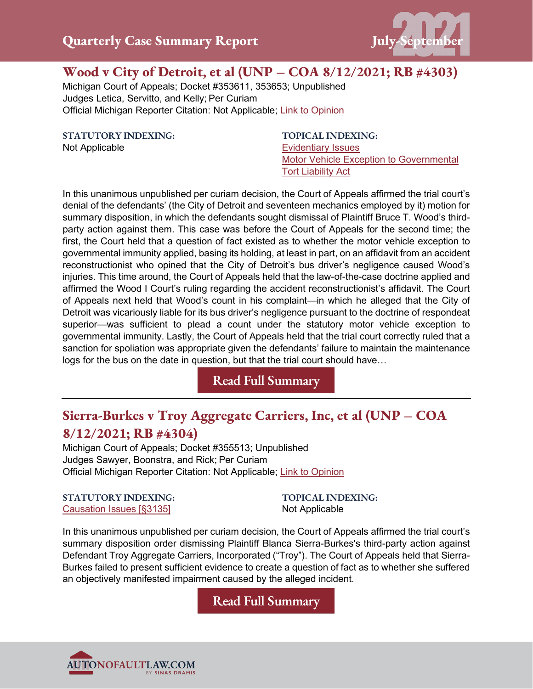

## **Wood v City of Detroit, et al (UNP – COA 8/12/2021; RB #4303)**

Michigan Court of Appeals; Docket #353611, 353653; Unpublished Judges Letica, Servitto, and Kelly; Per Curiam Official Michigan Reporter Citation: Not Applicable; [Link to Opinion](https://autonofaultlaw.com/digital-library/images/pdf/Opinions-2021/5273_Wood_v_City_of_Detroit_et_al.PDF)

**STATUTORY INDEXING:** Not Applicable

**TOPICAL INDEXING:** [Evidentiary Issues](https://autonofaultlaw.com/digital-library/index.php?option=com_content&view=article&id=1630) [Motor Vehicle Exception to Governmental](https://autonofaultlaw.com/digital-library/index.php?option=com_content&view=article&id=4860)  [Tort Liability Act](https://autonofaultlaw.com/digital-library/index.php?option=com_content&view=article&id=4860)

In this unanimous unpublished per curiam decision, the Court of Appeals affirmed the trial court's denial of the defendants' (the City of Detroit and seventeen mechanics employed by it) motion for summary disposition, in which the defendants sought dismissal of Plaintiff Bruce T. Wood's thirdparty action against them. This case was before the Court of Appeals for the second time; the first, the Court held that a question of fact existed as to whether the motor vehicle exception to governmental immunity applied, basing its holding, at least in part, on an affidavit from an accident reconstructionist who opined that the City of Detroit's bus driver's negligence caused Wood's injuries. This time around, the Court of Appeals held that the law-of-the-case doctrine applied and affirmed the Wood I Court's ruling regarding the accident reconstructionist's affidavit. The Court of Appeals next held that Wood's count in his complaint—in which he alleged that the City of Detroit was vicariously liable for its bus driver's negligence pursuant to the doctrine of respondeat superior—was sufficient to plead a count under the statutory motor vehicle exception to governmental immunity. Lastly, the Court of Appeals held that the trial court correctly ruled that a sanction for spoliation was appropriate given the defendants' failure to maintain the maintenance logs for the bus on the date in question, but that the trial court should have…

## **[Read Full Summary](https://www.autonofaultlaw.com/digital-library/index.php/case-summaries/5273-wood-v-city-of-detroit-et-al-michigan-court-of-appeals)**

# **Sierra-Burkes v Troy Aggregate Carriers, Inc, et al (UNP – COA 8/12/2021; RB #4304)**

Michigan Court of Appeals; Docket #355513; Unpublished Judges Sawyer, Boonstra, and Rick; Per Curiam Official Michigan Reporter Citation: Not Applicable; [Link to Opinion](https://autonofaultlaw.com/digital-library/images/pdf/Opinions-2021/5274_Sierra-Burkes_v_Troy_Aggregate_Carriers_Inc._et_al.PDF)

#### **STATUTORY INDEXING:** [Causation Issues \[§3135\]](https://autonofaultlaw.com/digital-library/index.php?option=com_content&view=article&id=158)

**TOPICAL INDEXING:** Not Applicable

In this unanimous unpublished per curiam decision, the Court of Appeals affirmed the trial court's summary disposition order dismissing Plaintiff Blanca Sierra-Burkes's third-party action against Defendant Troy Aggregate Carriers, Incorporated ("Troy"). The Court of Appeals held that Sierra-Burkes failed to present sufficient evidence to create a question of fact as to whether she suffered an objectively manifested impairment caused by the alleged incident.

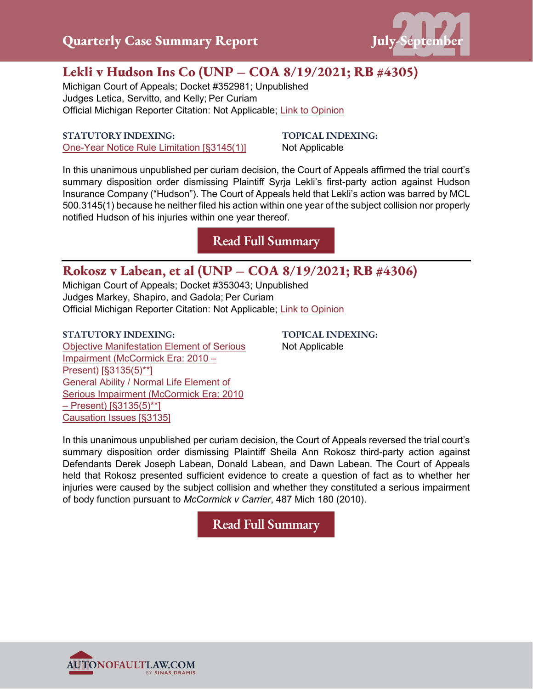

# **Lekli v Hudson Ins Co (UNP – COA 8/19/2021; RB #4305)**

Michigan Court of Appeals; Docket #352981; Unpublished Judges Letica, Servitto, and Kelly; Per Curiam Official Michigan Reporter Citation: Not Applicable; [Link to Opinion](https://autonofaultlaw.com/digital-library/images/pdf/Opinions-2021/5277_Lekli_v_Hudson_Ins_Co.PDF)

### **STATUTORY INDEXING:** [One-Year Notice Rule Limitation \[§3145\(1\)\]](https://autonofaultlaw.com/digital-library/index.php?option=com_content&view=article&id=288)

**TOPICAL INDEXING:** Not Applicable

In this unanimous unpublished per curiam decision, the Court of Appeals affirmed the trial court's summary disposition order dismissing Plaintiff Syrja Lekli's first-party action against Hudson Insurance Company ("Hudson"). The Court of Appeals held that Lekli's action was barred by MCL 500.3145(1) because he neither filed his action within one year of the subject collision nor properly notified Hudson of his injuries within one year thereof.

**[Read Full Summary](https://www.autonofaultlaw.com/digital-library/index.php/case-summaries/5277-lekli-v-hudson-ins-co-michigan-court-of-appeals)**

## **Rokosz v Labean, et al (UNP – COA 8/19/2021; RB #4306)**

Michigan Court of Appeals; Docket #353043; Unpublished Judges Markey, Shapiro, and Gadola; Per Curiam Official Michigan Reporter Citation: Not Applicable; [Link to Opinion](https://autonofaultlaw.com/digital-library/images/pdf/Opinions-2021/5272_Rokosz_v_Labean.PDF)

**STATUTORY INDEXING:** [Objective Manifestation Element of Serious](https://autonofaultlaw.com/digital-library/index.php?option=com_content&view=article&id=924)  [Impairment \(McCormick Era: 2010 –](https://autonofaultlaw.com/digital-library/index.php?option=com_content&view=article&id=924) [Present\) \[§3135\(5\)\\*\\*\]](https://autonofaultlaw.com/digital-library/index.php?option=com_content&view=article&id=924) [General Ability / Normal Life Element of](https://autonofaultlaw.com/digital-library/index.php?option=com_content&view=article&id=916)  [Serious Impairment \(McCormick Era: 2010](https://autonofaultlaw.com/digital-library/index.php?option=com_content&view=article&id=916)   $-$  Present)  $[§3135(5)*']$ [Causation Issues \[§3135\]](https://autonofaultlaw.com/digital-library/index.php?option=com_content&view=article&id=158)

**TOPICAL INDEXING:** Not Applicable

In this unanimous unpublished per curiam decision, the Court of Appeals reversed the trial court's summary disposition order dismissing Plaintiff Sheila Ann Rokosz third-party action against Defendants Derek Joseph Labean, Donald Labean, and Dawn Labean. The Court of Appeals held that Rokosz presented sufficient evidence to create a question of fact as to whether her injuries were caused by the subject collision and whether they constituted a serious impairment of body function pursuant to *McCormick v Carrier*, 487 Mich 180 (2010).

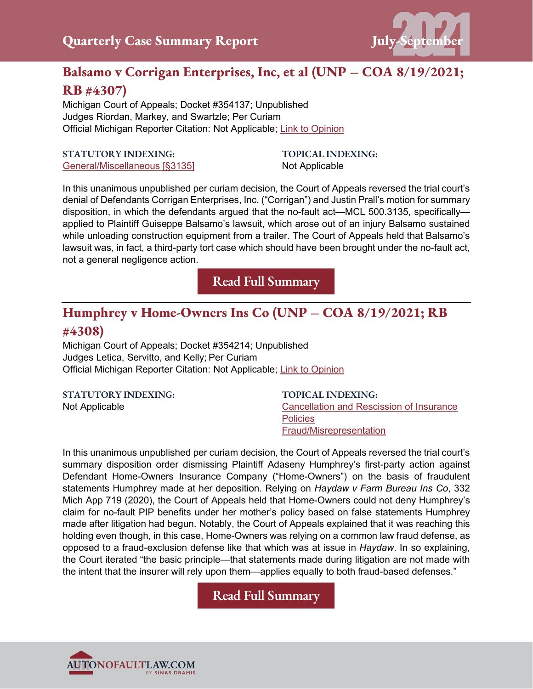

# **Balsamo v Corrigan Enterprises, Inc, et al (UNP – COA 8/19/2021; RB #4307)**

Michigan Court of Appeals; Docket #354137; Unpublished Judges Riordan, Markey, and Swartzle; Per Curiam Official Michigan Reporter Citation: Not Applicable; [Link to Opinion](https://autonofaultlaw.com/digital-library/images/pdf/Opinions-2021/5275_Balsamo_v_Corrigan_Enterprises_Inc_et_al.PDF)

### **STATUTORY INDEXING:** [General/Miscellaneous \[§3135\]](https://www.autonofaultlaw.com/digital-library/index.php?option=com_content&view=article&id=168)

**TOPICAL INDEXING:** Not Applicable

In this unanimous unpublished per curiam decision, the Court of Appeals reversed the trial court's denial of Defendants Corrigan Enterprises, Inc. ("Corrigan") and Justin Prall's motion for summary disposition, in which the defendants argued that the no-fault act—MCL 500.3135, specifically applied to Plaintiff Guiseppe Balsamo's lawsuit, which arose out of an injury Balsamo sustained while unloading construction equipment from a trailer. The Court of Appeals held that Balsamo's lawsuit was, in fact, a third-party tort case which should have been brought under the no-fault act, not a general negligence action.

**[Read Full Summary](https://www.autonofaultlaw.com/digital-library/index.php/case-summaries/5275-balsamo-v-corrigan-enterprises-inc-et-al-michigan-court-of-appeals)**

# **Humphrey v Home-Owners Ins Co (UNP – COA 8/19/2021; RB #4308)**

Michigan Court of Appeals; Docket #354214; Unpublished Judges Letica, Servitto, and Kelly; Per Curiam Official Michigan Reporter Citation: Not Applicable; [Link to Opinion](https://autonofaultlaw.com/digital-library/images/pdf/Opinions-2021/5276_Humphrey_v_Home-Owners_Ins_Co.PDF)

**STATUTORY INDEXING:**

Not Applicable

**TOPICAL INDEXING:** [Cancellation and Rescission of Insurance](https://autonofaultlaw.com/digital-library/index.php?option=com_content&view=article&id=855)  **[Policies](https://autonofaultlaw.com/digital-library/index.php?option=com_content&view=article&id=855)** [Fraud/Misrepresentation](https://autonofaultlaw.com/digital-library/index.php?option=com_content&view=article&id=1869)

In this unanimous unpublished per curiam decision, the Court of Appeals reversed the trial court's summary disposition order dismissing Plaintiff Adaseny Humphrey's first-party action against Defendant Home-Owners Insurance Company ("Home-Owners") on the basis of fraudulent statements Humphrey made at her deposition. Relying on *Haydaw v Farm Bureau Ins Co*, 332 Mich App 719 (2020), the Court of Appeals held that Home-Owners could not deny Humphrey's claim for no-fault PIP benefits under her mother's policy based on false statements Humphrey made after litigation had begun. Notably, the Court of Appeals explained that it was reaching this holding even though, in this case, Home-Owners was relying on a common law fraud defense, as opposed to a fraud-exclusion defense like that which was at issue in *Haydaw*. In so explaining, the Court iterated "the basic principle—that statements made during litigation are not made with the intent that the insurer will rely upon them—applies equally to both fraud-based defenses."

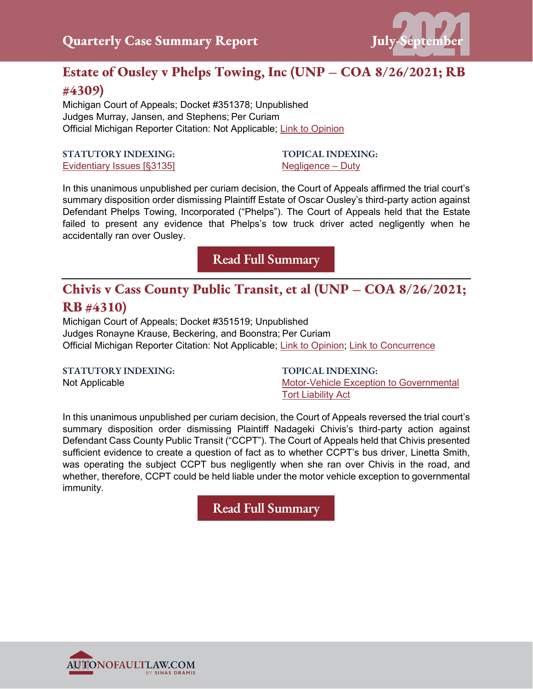

# **Estate of Ousley v Phelps Towing, Inc (UNP – COA 8/26/2021; RB #4309)**

Michigan Court of Appeals; Docket #351378; Unpublished Judges Murray, Jansen, and Stephens; Per Curiam Official Michigan Reporter Citation: Not Applicable; [Link to Opinion](https://autonofaultlaw.com/digital-library/images/pdf/Opinions-2021/5291_Estate_of_Ousley_v_Phelps_Towing_IncPDF.PDF)

### **STATUTORY INDEXING:** [Evidentiary Issues \[§3135\]](https://autonofaultlaw.com/digital-library/index.php?option=com_content&view=article&id=159)

**TOPICAL INDEXING:** [Negligence –](https://autonofaultlaw.com/digital-library/index.php?option=com_content&view=article&id=4843) Duty

In this unanimous unpublished per curiam decision, the Court of Appeals affirmed the trial court's summary disposition order dismissing Plaintiff Estate of Oscar Ousley's third-party action against Defendant Phelps Towing, Incorporated ("Phelps"). The Court of Appeals held that the Estate failed to present any evidence that Phelps's tow truck driver acted negligently when he accidentally ran over Ousley.

**[Read Full Summary](https://autonofaultlaw.com/digital-library/index.php/case-summaries/5291-estate-of-ousley-v-phelps-towing-inc-michigan-court-of-appeals)**

# **Chivis v Cass County Public Transit, et al (UNP – COA 8/26/2021; RB #4310)**

Michigan Court of Appeals; Docket #351519; Unpublished Judges Ronayne Krause, Beckering, and Boonstra; Per Curiam Official Michigan Reporter Citation: Not Applicable; [Link to Opinion;](https://autonofaultlaw.com/digital-library/images/pdf/Opinions-2021/5280_Chivis_v_Cass_County_Public_Transit_et_al.PDF) [Link to Concurrence](https://autonofaultlaw.com/digital-library/images/pdf/Opinions-2021/5280_Chivis_v_Cass_County_Public_Transit_et_al_concurrence.PDF)

## **STATUTORY INDEXING:**

Not Applicable

**TOPICAL INDEXING:** [Motor-Vehicle Exception to Governmental](https://autonofaultlaw.com/digital-library/index.php?option=com_content&view=article&id=4860)  [Tort Liability Act](https://autonofaultlaw.com/digital-library/index.php?option=com_content&view=article&id=4860)

In this unanimous unpublished per curiam decision, the Court of Appeals reversed the trial court's summary disposition order dismissing Plaintiff Nadageki Chivis's third-party action against Defendant Cass County Public Transit ("CCPT"). The Court of Appeals held that Chivis presented sufficient evidence to create a question of fact as to whether CCPT's bus driver, Linetta Smith, was operating the subject CCPT bus negligently when she ran over Chivis in the road, and whether, therefore, CCPT could be held liable under the motor vehicle exception to governmental immunity.

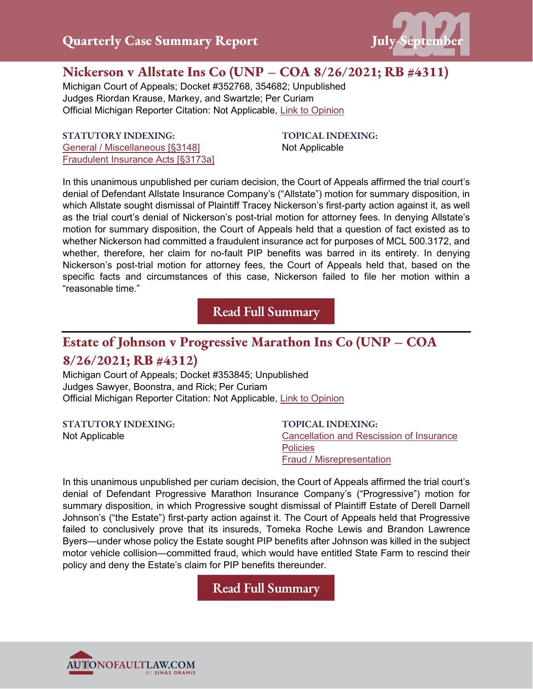

## **Nickerson v Allstate Ins Co (UNP – COA 8/26/2021; RB #4311)**

Michigan Court of Appeals; Docket #352768, 354682; Unpublished Judges Riordan Krause, Markey, and Swartzle; Per Curiam Official Michigan Reporter Citation: Not Applicable, [Link to Opinion](https://autonofaultlaw.com/digital-library/images/pdf/Opinions-2021/5279_Nickerson_v_Allstate_Ins_Co.PDF)

**STATUTORY INDEXING:** [General / Miscellaneous \[§3148\]](https://autonofaultlaw.com/digital-library/index.php?option=com_content&view=article&id=924) [Fraudulent Insurance Acts \[§3173a\]](https://autonofaultlaw.com/digital-library/index.php?option=com_content&view=article&id=5204) **TOPICAL INDEXING:** Not Applicable

In this unanimous unpublished per curiam decision, the Court of Appeals affirmed the trial court's denial of Defendant Allstate Insurance Company's ("Allstate") motion for summary disposition, in which Allstate sought dismissal of Plaintiff Tracey Nickerson's first-party action against it, as well as the trial court's denial of Nickerson's post-trial motion for attorney fees. In denying Allstate's motion for summary disposition, the Court of Appeals held that a question of fact existed as to whether Nickerson had committed a fraudulent insurance act for purposes of MCL 500.3172, and whether, therefore, her claim for no-fault PIP benefits was barred in its entirety. In denying Nickerson's post-trial motion for attorney fees, the Court of Appeals held that, based on the specific facts and circumstances of this case, Nickerson failed to file her motion within a "reasonable time."

**[Read Full Summary](https://www.autonofaultlaw.com/digital-library/index.php/case-summaries/5279-nickerson-v-allstate-ins-co-unp-coa-8-26-2021-rb-4311)**

## **Estate of Johnson v Progressive Marathon Ins Co (UNP – COA**

## **8/26/2021; RB #4312)**

Michigan Court of Appeals; Docket #353845; Unpublished Judges Sawyer, Boonstra, and Rick; Per Curiam Official Michigan Reporter Citation: Not Applicable, [Link to Opinion](https://autonofaultlaw.com/digital-library/images/pdf/Opinions-2021/5278_Estate_of_Johnson_v_Progressive_Marathon_Ins_Co_et_al.PDF)

**STATUTORY INDEXING:**

Not Applicable

**TOPICAL INDEXING:** [Cancellation and Rescission of Insurance](https://autonofaultlaw.com/digital-library/index.php?option=com_content&view=article&id=855)  **[Policies](https://autonofaultlaw.com/digital-library/index.php?option=com_content&view=article&id=855)** [Fraud / Misrepresentation](https://autonofaultlaw.com/digital-library/index.php?option=com_content&view=article&id=1869)

In this unanimous unpublished per curiam decision, the Court of Appeals affirmed the trial court's denial of Defendant Progressive Marathon Insurance Company's ("Progressive") motion for summary disposition, in which Progressive sought dismissal of Plaintiff Estate of Derell Darnell Johnson's ("the Estate") first-party action against it. The Court of Appeals held that Progressive failed to conclusively prove that its insureds, Tomeka Roche Lewis and Brandon Lawrence Byers—under whose policy the Estate sought PIP benefits after Johnson was killed in the subject motor vehicle collision—committed fraud, which would have entitled State Farm to rescind their policy and deny the Estate's claim for PIP benefits thereunder.

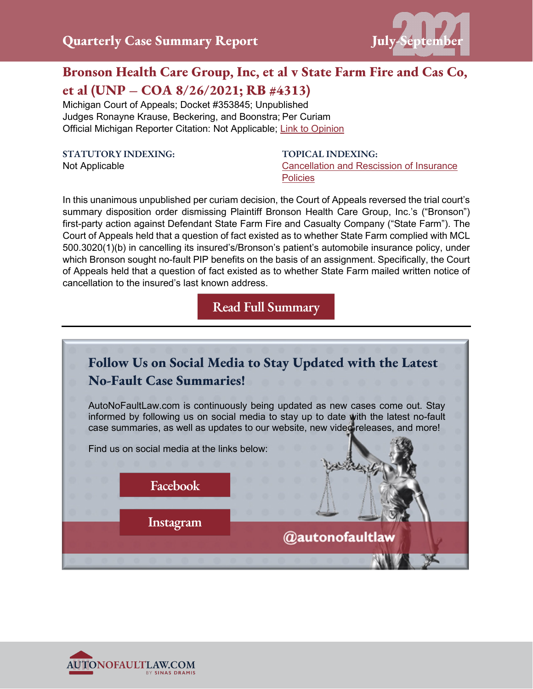

# **Bronson Health Care Group, Inc, et al v State Farm Fire and Cas Co, et al (UNP – COA 8/26/2021; RB #4313)**

Michigan Court of Appeals; Docket #353845; Unpublished Judges Ronayne Krause, Beckering, and Boonstra; Per Curiam Official Michigan Reporter Citation: Not Applicable; [Link to Opinion](https://autonofaultlaw.com/digital-library/images/pdf/Opinions-2021/5284_Bronson_Health_Care_Group_Inc._et_al_v_State_Farm_Fire_and_Cas_Co_et_al.PDF)

**STATUTORY INDEXING:**

Not Applicable

**TOPICAL INDEXING:** [Cancellation and Rescission of Insurance](https://autonofaultlaw.com/digital-library/index.php?option=com_content&view=article&id=855)  **[Policies](https://autonofaultlaw.com/digital-library/index.php?option=com_content&view=article&id=855)** 

In this unanimous unpublished per curiam decision, the Court of Appeals reversed the trial court's summary disposition order dismissing Plaintiff Bronson Health Care Group, Inc.'s ("Bronson") first-party action against Defendant State Farm Fire and Casualty Company ("State Farm"). The Court of Appeals held that a question of fact existed as to whether State Farm complied with MCL 500.3020(1)(b) in cancelling its insured's/Bronson's patient's automobile insurance policy, under which Bronson sought no-fault PIP benefits on the basis of an assignment. Specifically, the Court of Appeals held that a question of fact existed as to whether State Farm mailed written notice of cancellation to the insured's last known address.



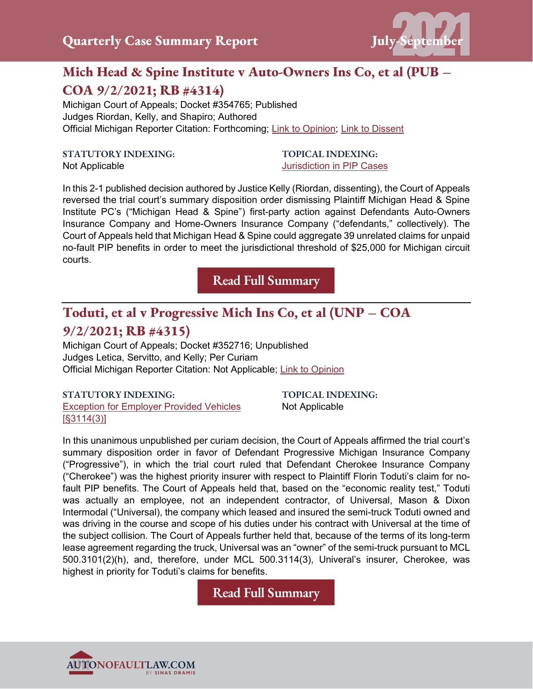

# **Mich Head & Spine Institute v Auto-Owners Ins Co, et al (PUB – COA 9/2/2021; RB #4314)**

Michigan Court of Appeals; Docket #354765; Published Judges Riordan, Kelly, and Shapiro; Authored Official Michigan Reporter Citation: Forthcoming; [Link to Opinion;](https://autonofaultlaw.com/digital-library/images/pdf/Opinions-2021/5283_Mich_Head__Spine_Institute_PC_v_Auto-Owners_Ins_Co_et_al.PDF) [Link to Dissent](https://autonofaultlaw.com/digital-library/images/pdf/Opinions-2021/5283_Mich_Head__Spine_Institute_PC_v_Auto-Owners_Ins_Co_et_al_dissent.PDF)

### **STATUTORY INDEXING:**

Not Applicable

### **TOPICAL INDEXING:** [Jurisdiction in PIP Cases](https://www.autonofaultlaw.com/digital-library/index.php?option=com_content&view=article&id=3622)

In this 2-1 published decision authored by Justice Kelly (Riordan, dissenting), the Court of Appeals reversed the trial court's summary disposition order dismissing Plaintiff Michigan Head & Spine Institute PC's ("Michigan Head & Spine") first-party action against Defendants Auto-Owners Insurance Company and Home-Owners Insurance Company ("defendants," collectively). The Court of Appeals held that Michigan Head & Spine could aggregate 39 unrelated claims for unpaid no-fault PIP benefits in order to meet the jurisdictional threshold of \$25,000 for Michigan circuit courts.

**[Read Full Summary](https://www.autonofaultlaw.com/digital-library/index.php/case-summaries/5283-michigan-head-spine-institute-v-auto-owners-ins-co-et-al-michigan-court-of-appeals)**

# **Toduti, et al v Progressive Mich Ins Co, et al (UNP – COA 9/2/2021; RB #4315)**

Michigan Court of Appeals; Docket #352716; Unpublished Judges Letica, Servitto, and Kelly; Per Curiam Official Michigan Reporter Citation: Not Applicable; [Link to Opinion](https://autonofaultlaw.com/digital-library/images/pdf/Opinions-2021/5282_Toduti_et_al_v_Progressive_Mich_Ins_Co_et_al.PDF)

### **STATUTORY INDEXING:** [Exception for Employer Provided Vehicles](https://autonofaultlaw.com/digital-library/index.php?option=com_content&view=article&id=98)  [\[§3114\(3\)\]](https://autonofaultlaw.com/digital-library/index.php?option=com_content&view=article&id=98)

**TOPICAL INDEXING:** Not Applicable

In this unanimous unpublished per curiam decision, the Court of Appeals affirmed the trial court's summary disposition order in favor of Defendant Progressive Michigan Insurance Company ("Progressive"), in which the trial court ruled that Defendant Cherokee Insurance Company ("Cherokee") was the highest priority insurer with respect to Plaintiff Florin Toduti's claim for nofault PIP benefits. The Court of Appeals held that, based on the "economic reality test," Toduti was actually an employee, not an independent contractor, of Universal, Mason & Dixon Intermodal ("Universal), the company which leased and insured the semi-truck Toduti owned and was driving in the course and scope of his duties under his contract with Universal at the time of the subject collision. The Court of Appeals further held that, because of the terms of its long-term lease agreement regarding the truck, Universal was an "owner" of the semi-truck pursuant to MCL 500.3101(2)(h), and, therefore, under MCL 500.3114(3), Univeral's insurer, Cherokee, was highest in priority for Toduti's claims for benefits.

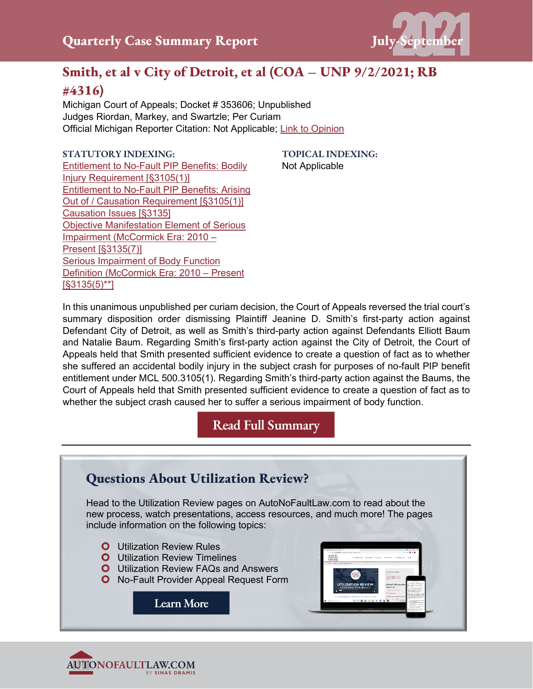

# **Smith, et al v City of Detroit, et al (COA – UNP 9/2/2021; RB**

## **#4316)**

Michigan Court of Appeals; Docket # 353606; Unpublished Judges Riordan, Markey, and Swartzle; Per Curiam Official Michigan Reporter Citation: Not Applicable; [Link to Opinion](https://autonofaultlaw.com/digital-library/images/pdf/Opinions-2021/5281_Smith_et_al_v_City_of_Detroit_et_al.PDF)

## **STATUTORY INDEXING:**

[Entitlement to No-Fault PIP Benefits: Bodily](https://autonofaultlaw.com/digital-library/index.php?option=com_content&view=article&id=175)  [Injury Requirement \[§3105\(1\)\]](https://autonofaultlaw.com/digital-library/index.php?option=com_content&view=article&id=175) [Entitlement to No-Fault PIP Benefits: Arising](https://autonofaultlaw.com/digital-library/index.php?option=com_content&view=article&id=176)  [Out of / Causation Requirement \[§3105\(1\)\]](https://autonofaultlaw.com/digital-library/index.php?option=com_content&view=article&id=176) [Causation Issues \[§3135\]](https://autonofaultlaw.com/digital-library/index.php?option=com_content&view=article&id=158) [Objective Manifestation Element of Serious](https://autonofaultlaw.com/digital-library/index.php?option=com_content&view=article&id=924)  [Impairment \(McCormick Era: 2010 –](https://autonofaultlaw.com/digital-library/index.php?option=com_content&view=article&id=924) [Present \[§3135\(7\)\]](https://autonofaultlaw.com/digital-library/index.php?option=com_content&view=article&id=924) [Serious Impairment of Body Function](https://autonofaultlaw.com/digital-library/index.php?option=com_content&view=article&id=928)  [Definition \(McCormick Era: 2010 –](https://autonofaultlaw.com/digital-library/index.php?option=com_content&view=article&id=928) Present [\[§3135\(5\)\\*\\*\]](https://autonofaultlaw.com/digital-library/index.php?option=com_content&view=article&id=928)

**TOPICAL INDEXING:** Not Applicable

In this unanimous unpublished per curiam decision, the Court of Appeals reversed the trial court's summary disposition order dismissing Plaintiff Jeanine D. Smith's first-party action against Defendant City of Detroit, as well as Smith's third-party action against Defendants Elliott Baum and Natalie Baum. Regarding Smith's first-party action against the City of Detroit, the Court of Appeals held that Smith presented sufficient evidence to create a question of fact as to whether she suffered an accidental bodily injury in the subject crash for purposes of no-fault PIP benefit entitlement under MCL 500.3105(1). Regarding Smith's third-party action against the Baums, the Court of Appeals held that Smith presented sufficient evidence to create a question of fact as to whether the subject crash caused her to suffer a serious impairment of body function.



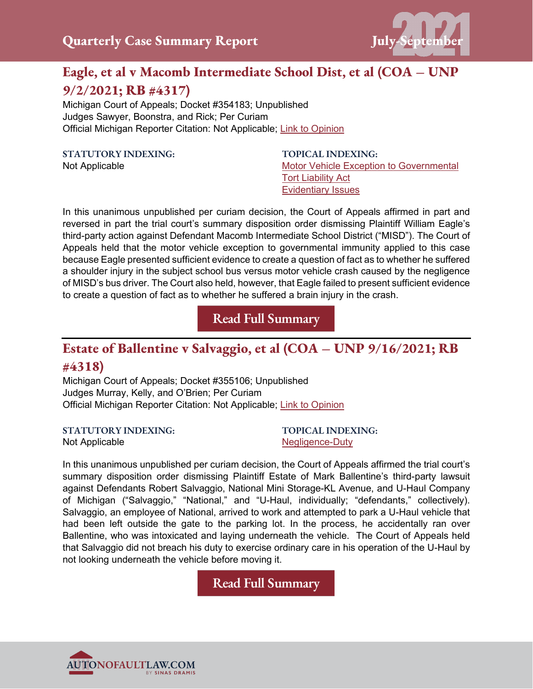

# **Eagle, et al v Macomb Intermediate School Dist, et al (COA – UNP 9/2/2021; RB #4317)**

Michigan Court of Appeals; Docket #354183; Unpublished Judges Sawyer, Boonstra, and Rick; Per Curiam Official Michigan Reporter Citation: Not Applicable; [Link to Opinion](https://autonofaultlaw.com/digital-library/images/pdf/Opinions-2021/5290_Eagle_v_Macomb_Intermediate_School_Dist.PDF)

## **STATUTORY INDEXING:**

Not Applicable

**TOPICAL INDEXING:**  [Motor Vehicle Exception to Governmental](https://www.autonofaultlaw.com/digital-library/index.php?option=com_content&view=article&id=4860)  [Tort Liability Act](https://www.autonofaultlaw.com/digital-library/index.php?option=com_content&view=article&id=4860) [Evidentiary Issues](https://www.autonofaultlaw.com/digital-library/index.php?option=com_content&view=article&id=1630)

In this unanimous unpublished per curiam decision, the Court of Appeals affirmed in part and reversed in part the trial court's summary disposition order dismissing Plaintiff William Eagle's third-party action against Defendant Macomb Intermediate School District ("MISD"). The Court of Appeals held that the motor vehicle exception to governmental immunity applied to this case because Eagle presented sufficient evidence to create a question of fact as to whether he suffered a shoulder injury in the subject school bus versus motor vehicle crash caused by the negligence of MISD's bus driver. The Court also held, however, that Eagle failed to present sufficient evidence to create a question of fact as to whether he suffered a brain injury in the crash.

**[Read Full Summary](https://www.autonofaultlaw.com/digital-library/index.php/case-summaries/5290-eagle-et-al-v-macomb-intermediate-school-dist-et-al-michigan-court-of-appeals)**

# **Estate of Ballentine v Salvaggio, et al (COA – UNP 9/16/2021; RB**

## **#4318)**

Not Applicable

Michigan Court of Appeals; Docket #355106; Unpublished Judges Murray, Kelly, and O'Brien; Per Curiam Official Michigan Reporter Citation: Not Applicable; [Link to Opinion](https://autonofaultlaw.com/digital-library/images/pdf/Opinions-2021/5289_Estate_of_Ballentine_v_Salvaggio_et_al.PDF)

## **STATUTORY INDEXING:**

**TOPICAL INDEXING:**  [Negligence-Duty](https://autonofaultlaw.com/digital-library/index.php?option=com_content&view=article&id=4843)

In this unanimous unpublished per curiam decision, the Court of Appeals affirmed the trial court's summary disposition order dismissing Plaintiff Estate of Mark Ballentine's third-party lawsuit against Defendants Robert Salvaggio, National Mini Storage-KL Avenue, and U-Haul Company of Michigan ("Salvaggio," "National," and "U-Haul, individually; "defendants," collectively). Salvaggio, an employee of National, arrived to work and attempted to park a U-Haul vehicle that had been left outside the gate to the parking lot. In the process, he accidentally ran over Ballentine, who was intoxicated and laying underneath the vehicle. The Court of Appeals held that Salvaggio did not breach his duty to exercise ordinary care in his operation of the U-Haul by not looking underneath the vehicle before moving it.

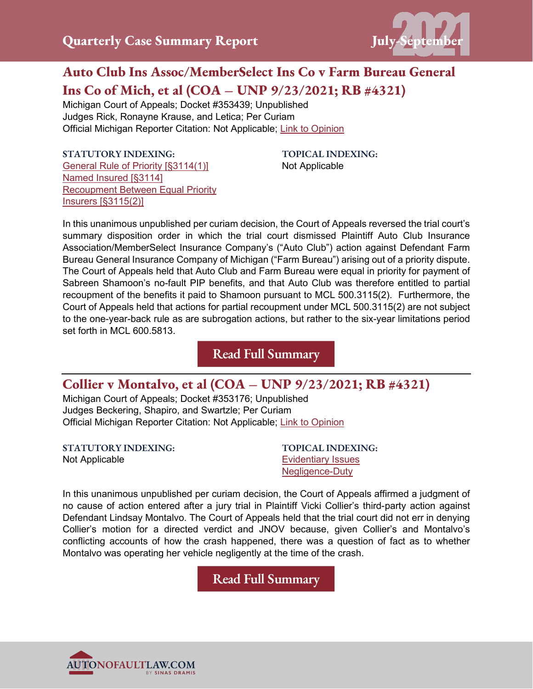

# **Auto Club Ins Assoc/MemberSelect Ins Co v Farm Bureau General Ins Co of Mich, et al (COA – UNP 9/23/2021; RB #4321)**

Michigan Court of Appeals; Docket #353439; Unpublished Judges Rick, Ronayne Krause, and Letica; Per Curiam Official Michigan Reporter Citation: Not Applicable; [Link to Opinion](https://autonofaultlaw.com/digital-library/images/pdf/Opinions-2021/5287_Auto_Club_Ins_Assoc-Memberselect_Ins_Co_v_Farm_Bureau_Gen_Ins_Co_of_Mich_et_al.PDF)

**STATUTORY INDEXING:**  [General Rule of Priority \[§3114\(1\)\]](https://www.autonofaultlaw.com/digital-library/index.php?option=com_content&view=article&id=93) [Named Insured \[§3114\]](https://www.autonofaultlaw.com/digital-library/index.php?option=com_content&view=article&id=1974) [Recoupment Between Equal Priority](https://www.autonofaultlaw.com/digital-library/index.php?option=com_content&view=article&id=255)  [Insurers \[§3115\(2\)\]](https://www.autonofaultlaw.com/digital-library/index.php?option=com_content&view=article&id=255)

**TOPICAL INDEXING:**  Not Applicable

In this unanimous unpublished per curiam decision, the Court of Appeals reversed the trial court's summary disposition order in which the trial court dismissed Plaintiff Auto Club Insurance Association/MemberSelect Insurance Company's ("Auto Club") action against Defendant Farm Bureau General Insurance Company of Michigan ("Farm Bureau") arising out of a priority dispute. The Court of Appeals held that Auto Club and Farm Bureau were equal in priority for payment of Sabreen Shamoon's no-fault PIP benefits, and that Auto Club was therefore entitled to partial recoupment of the benefits it paid to Shamoon pursuant to MCL 500.3115(2). Furthermore, the Court of Appeals held that actions for partial recoupment under MCL 500.3115(2) are not subject to the one-year-back rule as are subrogation actions, but rather to the six-year limitations period set forth in MCL 600.5813.

**[Read Full Summary](https://www.autonofaultlaw.com/digital-library/index.php/case-summaries/5287-auto-club-ins-assoc-memberselect-ins-co-v-farm-bureau-general-ins-co-of-mich-et-al-michigan-court-of-appeals)**

## **Collier v Montalvo, et al (COA – UNP 9/23/2021; RB #4321)**

Michigan Court of Appeals; Docket #353176; Unpublished Judges Beckering, Shapiro, and Swartzle; Per Curiam Official Michigan Reporter Citation: Not Applicable; Link [to Opinion](https://autonofaultlaw.com/digital-library/images/pdf/Opinions-2021/5292-collier-v-montalvo-et-al.PDF)

**STATUTORY INDEXING:** Not Applicable

**TOPICAL INDEXING:** [Evidentiary Issues](https://www.autonofaultlaw.com/digital-library/index.php?option=com_content&view=article&id=1630) [Negligence-Duty](https://www.autonofaultlaw.com/digital-library/index.php?option=com_content&view=article&id=4843)

In this unanimous unpublished per curiam decision, the Court of Appeals affirmed a judgment of no cause of action entered after a jury trial in Plaintiff Vicki Collier's third-party action against Defendant Lindsay Montalvo. The Court of Appeals held that the trial court did not err in denying Collier's motion for a directed verdict and JNOV because, given Collier's and Montalvo's conflicting accounts of how the crash happened, there was a question of fact as to whether Montalvo was operating her vehicle negligently at the time of the crash.